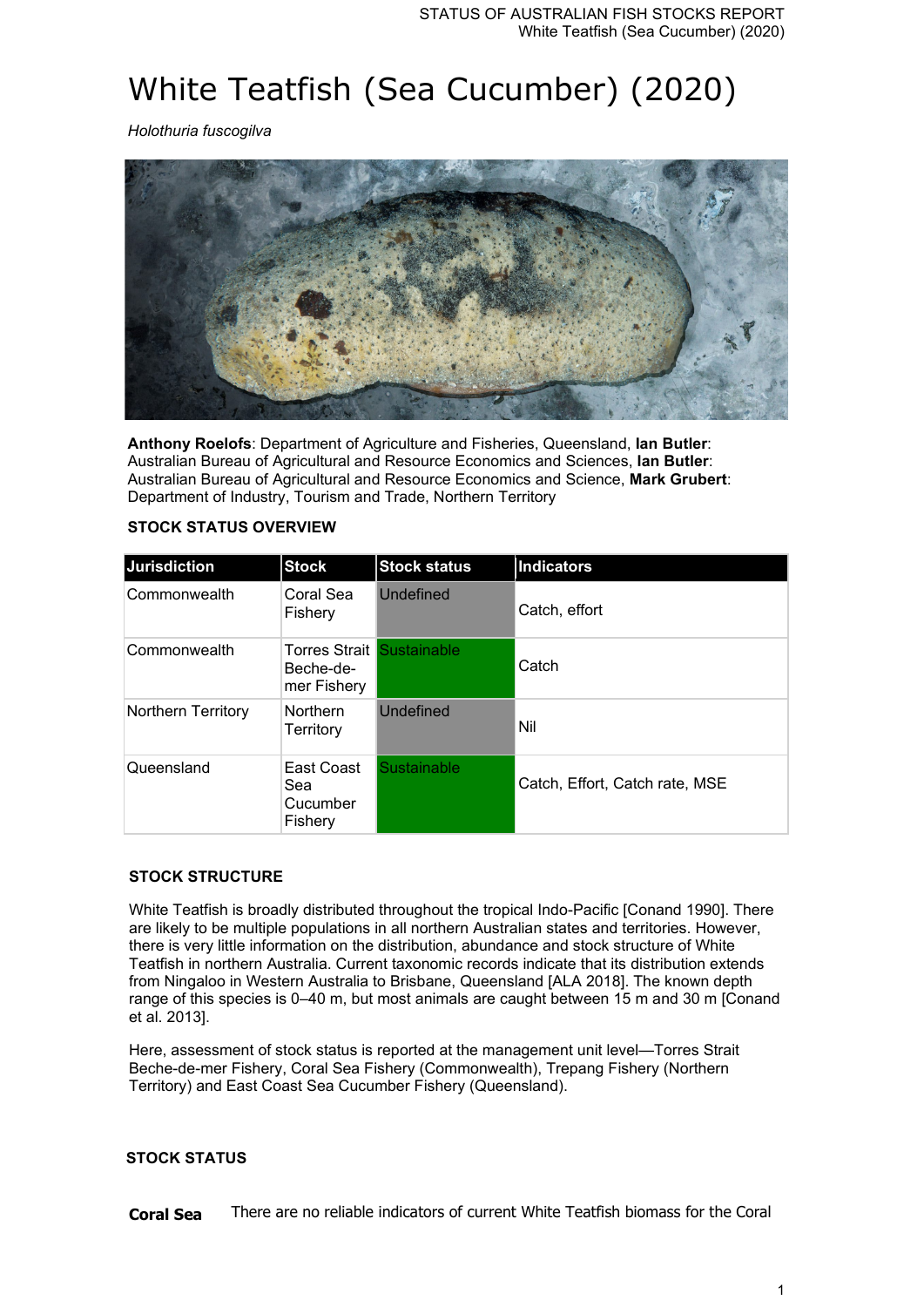# White Teatfish (Sea Cucumber) (2020)

*Holothuria fuscogilva*



**Anthony Roelofs**: Department of Agriculture and Fisheries, Queensland, **Ian Butler**: Australian Bureau of Agricultural and Resource Economics and Sciences, **Ian Butler**: Australian Bureau of Agricultural and Resource Economics and Science, **Mark Grubert**: Department of Industry, Tourism and Trade, Northern Territory

# **STOCK STATUS OVERVIEW**

| <b>Jurisdiction</b> | <b>Stock</b>                                                 | <b>Stock status</b> | <b>Indicators</b>              |
|---------------------|--------------------------------------------------------------|---------------------|--------------------------------|
| Commonwealth        | Coral Sea<br>Fishery                                         | Undefined           | Catch, effort                  |
| Commonwealth        | <b>Torres Strait Sustainable</b><br>Beche-de-<br>mer Fishery |                     | Catch                          |
| Northern Territory  | <b>Northern</b><br>Territory                                 | Undefined           | Nil                            |
| Queensland          | East Coast<br>Sea<br>Cucumber<br>Fishery                     | Sustainable         | Catch, Effort, Catch rate, MSE |

# **STOCK STRUCTURE**

White Teatfish is broadly distributed throughout the tropical Indo-Pacific [Conand 1990]. There are likely to be multiple populations in all northern Australian states and territories. However, there is very little information on the distribution, abundance and stock structure of White Teatfish in northern Australia. Current taxonomic records indicate that its distribution extends from Ningaloo in Western Australia to Brisbane, Queensland [ALA 2018]. The known depth range of this species is 0–40 m, but most animals are caught between 15 m and 30 m [Conand et al. 2013].

Here, assessment of stock status is reported at the management unit level—Torres Strait Beche-de-mer Fishery, Coral Sea Fishery (Commonwealth), Trepang Fishery (Northern Territory) and East Coast Sea Cucumber Fishery (Queensland).

# **STOCK STATUS**

**Coral Sea** There are no reliable indicators of current White Teatfish biomass for the Coral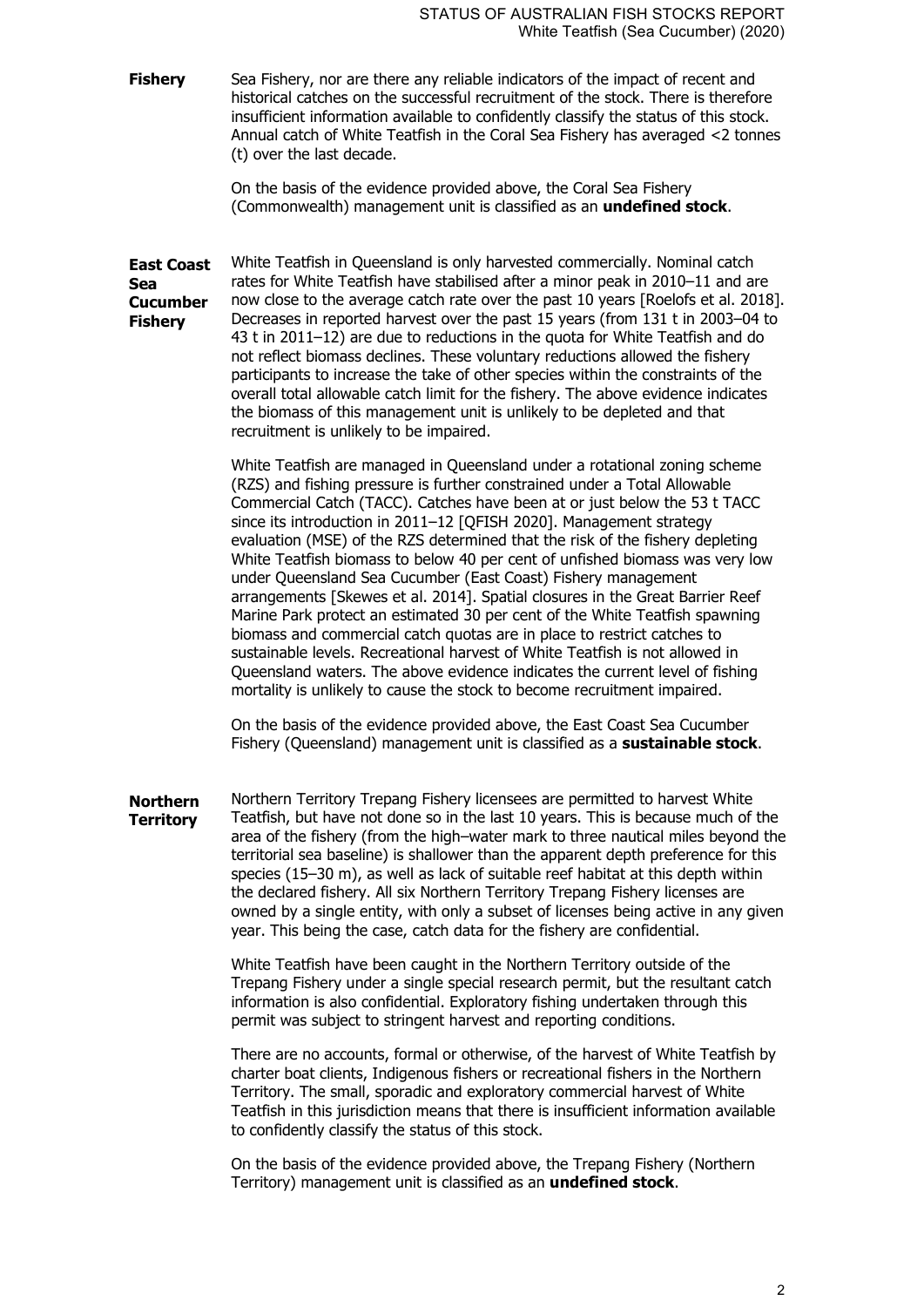**Fishery** Sea Fishery, nor are there any reliable indicators of the impact of recent and historical catches on the successful recruitment of the stock. There is therefore insufficient information available to confidently classify the status of this stock. Annual catch of White Teatfish in the Coral Sea Fishery has averaged <2 tonnes (t) over the last decade.

> On the basis of the evidence provided above, the Coral Sea Fishery (Commonwealth) management unit is classified as an **undefined stock**.

**East Coast Sea Cucumber Fishery** White Teatfish in Queensland is only harvested commercially. Nominal catch rates for White Teatfish have stabilised after a minor peak in 2010–11 and are now close to the average catch rate over the past 10 years [Roelofs et al. 2018]. Decreases in reported harvest over the past 15 years (from 131 t in 2003–04 to 43 t in 2011–12) are due to reductions in the quota for White Teatfish and do not reflect biomass declines. These voluntary reductions allowed the fishery participants to increase the take of other species within the constraints of the overall total allowable catch limit for the fishery. The above evidence indicates the biomass of this management unit is unlikely to be depleted and that recruitment is unlikely to be impaired.

> White Teatfish are managed in Queensland under a rotational zoning scheme (RZS) and fishing pressure is further constrained under a Total Allowable Commercial Catch (TACC). Catches have been at or just below the 53 t TACC since its introduction in 2011–12 [QFISH 2020]. Management strategy evaluation (MSE) of the RZS determined that the risk of the fishery depleting White Teatfish biomass to below 40 per cent of unfished biomass was very low under Queensland Sea Cucumber (East Coast) Fishery management arrangements [Skewes et al. 2014]. Spatial closures in the Great Barrier Reef Marine Park protect an estimated 30 per cent of the White Teatfish spawning biomass and commercial catch quotas are in place to restrict catches to sustainable levels. Recreational harvest of White Teatfish is not allowed in Queensland waters. The above evidence indicates the current level of fishing mortality is unlikely to cause the stock to become recruitment impaired.

On the basis of the evidence provided above, the East Coast Sea Cucumber Fishery (Queensland) management unit is classified as a **sustainable stock**.

**Northern Territory** Northern Territory Trepang Fishery licensees are permitted to harvest White Teatfish, but have not done so in the last 10 years. This is because much of the area of the fishery (from the high–water mark to three nautical miles beyond the territorial sea baseline) is shallower than the apparent depth preference for this species (15–30 m), as well as lack of suitable reef habitat at this depth within the declared fishery. All six Northern Territory Trepang Fishery licenses are owned by a single entity, with only a subset of licenses being active in any given year. This being the case, catch data for the fishery are confidential.

> White Teatfish have been caught in the Northern Territory outside of the Trepang Fishery under a single special research permit, but the resultant catch information is also confidential. Exploratory fishing undertaken through this permit was subject to stringent harvest and reporting conditions.

> There are no accounts, formal or otherwise, of the harvest of White Teatfish by charter boat clients, Indigenous fishers or recreational fishers in the Northern Territory. The small, sporadic and exploratory commercial harvest of White Teatfish in this jurisdiction means that there is insufficient information available to confidently classify the status of this stock.

On the basis of the evidence provided above, the Trepang Fishery (Northern Territory) management unit is classified as an **undefined stock**.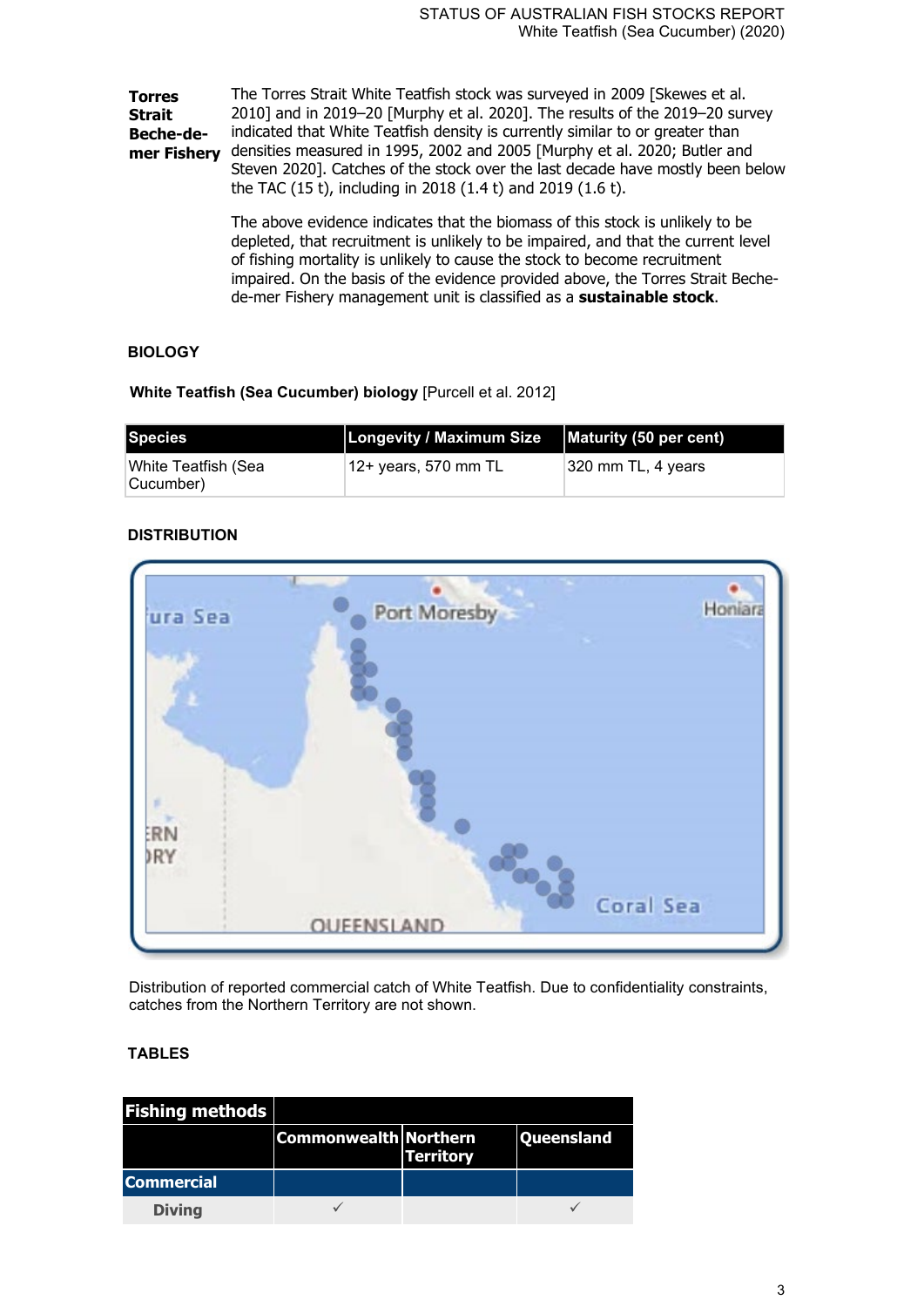**Torres Strait Beche-demer Fishery** densities measured in 1995, 2002 and 2005 [Murphy et al. 2020; Butler and The Torres Strait White Teatfish stock was surveyed in 2009 [Skewes et al. 2010] and in 2019–20 [Murphy et al. 2020]. The results of the 2019–20 survey indicated that White Teatfish density is currently similar to or greater than Steven 2020]. Catches of the stock over the last decade have mostly been below the TAC (15 t), including in 2018 (1.4 t) and 2019 (1.6 t).

> The above evidence indicates that the biomass of this stock is unlikely to be depleted, that recruitment is unlikely to be impaired, and that the current level of fishing mortality is unlikely to cause the stock to become recruitment impaired. On the basis of the evidence provided above, the Torres Strait Bechede-mer Fishery management unit is classified as a **sustainable stock**.

# **BIOLOGY**

**White Teatfish (Sea Cucumber) biology** [Purcell et al. 2012]

| Species                           | Longevity / Maximum Size   Maturity (50 per cent) |                               |
|-----------------------------------|---------------------------------------------------|-------------------------------|
| ∣White Teatfish (Sea<br>Cucumber) | 12+ years, 570 mm TL                              | $ 320 \text{ mm}$ TL, 4 years |

# **DISTRIBUTION**



Distribution of reported commercial catch of White Teatfish. Due to confidentiality constraints, catches from the Northern Territory are not shown.

# **TABLES**

| <b>Fishing methods</b> |                              |                  |                   |
|------------------------|------------------------------|------------------|-------------------|
|                        | <b>Commonwealth Northern</b> | <b>Territory</b> | <b>Queensland</b> |
| <b>Commercial</b>      |                              |                  |                   |
| <b>Diving</b>          |                              |                  |                   |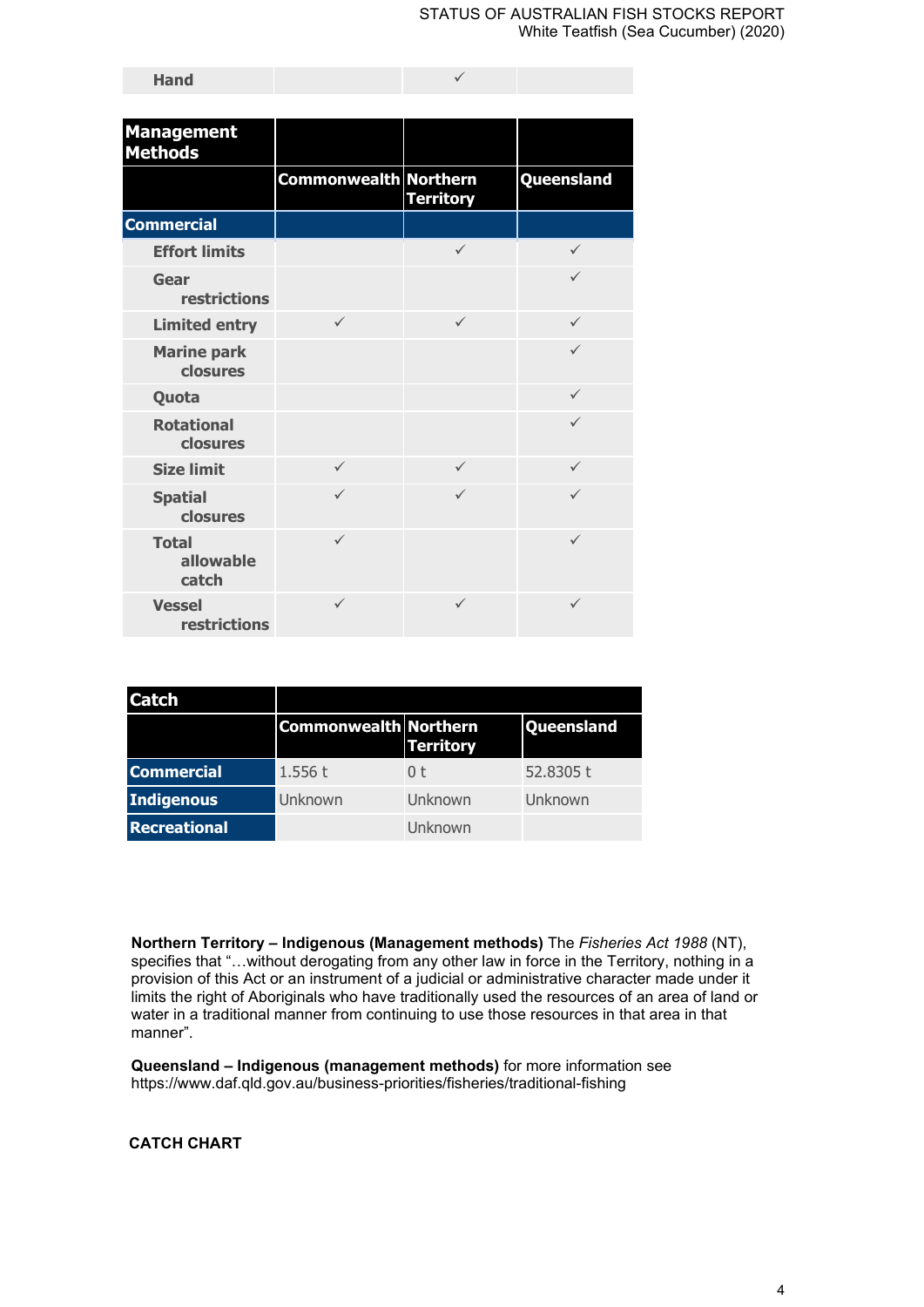| <b>Management</b><br><b>Methods</b> |                              |                  |              |
|-------------------------------------|------------------------------|------------------|--------------|
|                                     | <b>Commonwealth Northern</b> | <b>Territory</b> | Queensland   |
| <b>Commercial</b>                   |                              |                  |              |
| <b>Effort limits</b>                |                              | $\checkmark$     | ✓            |
| Gear<br><b>restrictions</b>         |                              |                  | $\checkmark$ |
| <b>Limited entry</b>                | $\checkmark$                 | $\checkmark$     | ✓            |
| <b>Marine park</b><br>closures      |                              |                  | $\checkmark$ |
| Quota                               |                              |                  | ✓            |
| <b>Rotational</b><br>closures       |                              |                  | ✓            |
| <b>Size limit</b>                   | $\checkmark$                 | $\checkmark$     | $\checkmark$ |
| <b>Spatial</b><br>closures          | $\checkmark$                 | $\checkmark$     | ✓            |
| <b>Total</b><br>allowable<br>catch  | $\checkmark$                 |                  | $\checkmark$ |
| <b>Vessel</b><br>restrictions       | ✓                            | $\checkmark$     | $\checkmark$ |

| Catch             |                              |                  |                   |
|-------------------|------------------------------|------------------|-------------------|
|                   | <b>Commonwealth Northern</b> | <b>Territory</b> | <b>Queensland</b> |
| <b>Commercial</b> | 1.556t                       | 0 <sup>†</sup>   | 52.8305 t         |
| Indigenous        | Unknown                      | Unknown          | Unknown           |
| Recreational      |                              | Unknown          |                   |

**Northern Territory – Indigenous (Management methods)** The *Fisheries Act 1988* (NT), specifies that "...without derogating from any other law in force in the Territory, nothing in a provision of this Act or an instrument of a judicial or administrative character made under it limits the right of Aboriginals who have traditionally used the resources of an area of land or water in a traditional manner from continuing to use those resources in that area in that manner".

**Queensland – Indigenous (management methods)** for more information see https://www.daf.qld.gov.au/business-priorities/fisheries/traditional-fishing

**CATCH CHART**

**Hand**